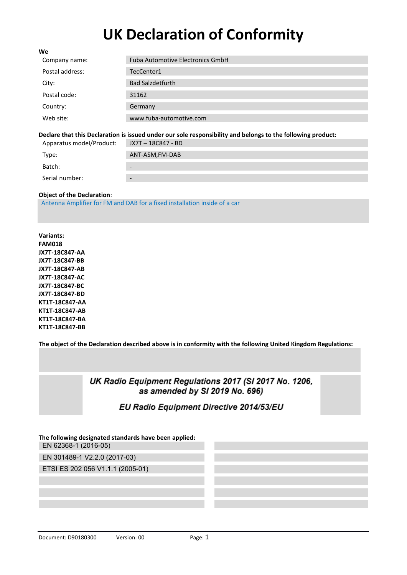# **UK Declaration of Conformity**

| We              |                                         |
|-----------------|-----------------------------------------|
| Company name:   | <b>Fuba Automotive Electronics GmbH</b> |
| Postal address: | TecCenter1                              |
| City:           | <b>Bad Salzdetfurth</b>                 |
| Postal code:    | 31162                                   |
| Country:        | Germany                                 |
| Web site:       | www.fuba-automotive.com                 |

#### **Declare that this Declaration is issued under our sole responsibility and belongs to the following product:**

| Apparatus model/Product: | JX7T – 18C847 - BD                                                                                                                                                                            |
|--------------------------|-----------------------------------------------------------------------------------------------------------------------------------------------------------------------------------------------|
| Type:                    | ANT-ASM,FM-DAB                                                                                                                                                                                |
| Batch:                   | $\hbox{ }$                                                                                                                                                                                    |
| Serial number:           | $\hskip1.6pt\hskip1.6pt\hskip1.6pt\hskip1.6pt\hskip1.6pt\hskip1.6pt\hskip1.6pt\hskip1.6pt\hskip1.6pt\hskip1.6pt\hskip1.6pt\hskip1.6pt\hskip1.6pt\hskip1.6pt\hskip1.6pt\hskip1.6pt\hskip1.6pt$ |

#### **Object of the Declaration**:

Antenna Amplifier for FM and DAB for a fixed installation inside of a car

**Variants: FAM018 JX7T-18C847-AA JX7T-18C847-BB JX7T-18C847-AB JX7T-18C847-AC JX7T-18C847-BC JX7T-18C847-BD KT1T-18C847-AA KT1T-18C847-AB KT1T-18C847-BA KT1T-18C847-BB** 

**The object of the Declaration described above is in conformity with the following United Kingdom Regulations:** 

### UK Radio Equipment Regulations 2017 (SI 2017 No. 1206, as amended by SI 2019 No. 696)

## EU Radio Equipment Directive 2014/53/EU

#### **The following designated standards have been applied:** EN 62368-1 (2016-05)

EN 301489-1 V2.2.0 (2017-03)

ETSI ES 202 056 V1.1.1 (2005-01)